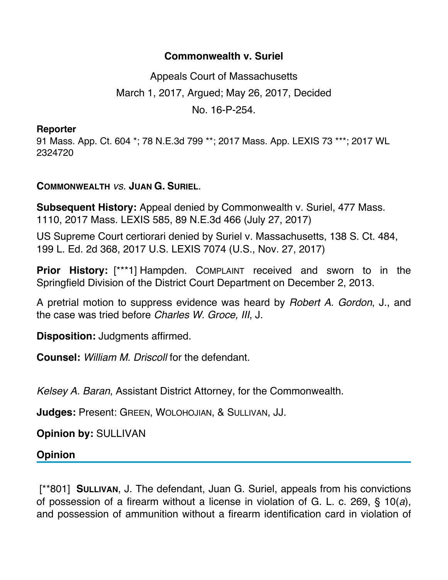## **Commonwealth v. Suriel**

Appeals Court of Massachusetts March 1, 2017, Argued; May 26, 2017, Decided No. 16-P-254.

## **Reporter**

91 Mass. App. Ct. 604 \*; 78 N.E.3d 799 \*\*; 2017 Mass. App. LEXIS 73 \*\*\*; 2017 WL 2324720

## **COMMONWEALTH** *vs.* **JUAN G. SURIEL**.

**Subsequent History:** Appeal denied by Commonwealth v. Suriel, 477 Mass. 1110, 2017 Mass. LEXIS 585, 89 N.E.3d 466 (July 27, 2017)

US Supreme Court certiorari denied by Suriel v. Massachusetts, 138 S. Ct. 484, 199 L. Ed. 2d 368, 2017 U.S. LEXIS 7074 (U.S., Nov. 27, 2017)

**Prior History:** [\*\*\*1] Hampden. COMPLAINT received and sworn to in the Springfield Division of the District Court Department on December 2, 2013.

A pretrial motion to suppress evidence was heard by *Robert A. Gordon*, J., and the case was tried before *Charles W. Groce, III*, J.

**Disposition:** Judgments affirmed.

**Counsel:** *William M. Driscoll* for the defendant.

*Kelsey A. Baran*, Assistant District Attorney, for the Commonwealth.

**Judges:** Present: GREEN, WOLOHOJIAN, & SULLIVAN, JJ.

**Opinion by:** SULLIVAN

**Opinion**

 [\*\*801] **SULLIVAN**, J. The defendant, Juan G. Suriel, appeals from his convictions of possession of a firearm without a license in violation of G. L. c. 269, § 10(*a*), and possession of ammunition without a firearm identification card in violation of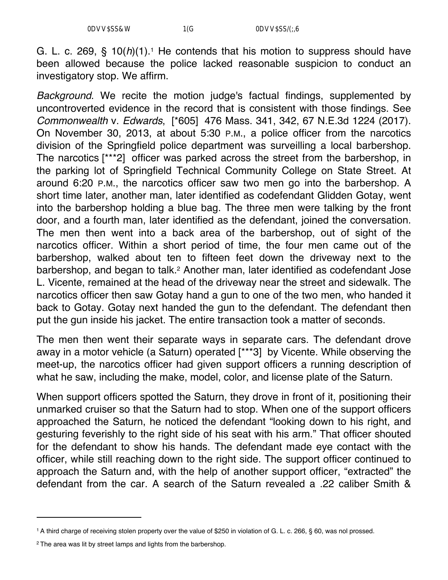G. L. c. 269,  $\S$  10( $h$ )(1).<sup>1</sup> He contends that his motion to suppress should have been allowed because the police lacked reasonable suspicion to conduct an investigatory stop. We affirm.

*Background*. We recite the motion judge's factual findings, supplemented by uncontroverted evidence in the record that is consistent with those findings. See *Commonwealth* v. *Edwards*, [\*605] 476 Mass. 341, 342, 67 N.E.3d 1224 (2017). On November 30, 2013, at about 5:30 P.M., a police officer from the narcotics division of the Springfield police department was surveilling a local barbershop. The narcotics [\*\*\*2] officer was parked across the street from the barbershop, in the parking lot of Springfield Technical Community College on State Street. At around 6:20 P.M., the narcotics officer saw two men go into the barbershop. A short time later, another man, later identified as codefendant Glidden Gotay, went into the barbershop holding a blue bag. The three men were talking by the front door, and a fourth man, later identified as the defendant, joined the conversation. The men then went into a back area of the barbershop, out of sight of the narcotics officer. Within a short period of time, the four men came out of the barbershop, walked about ten to fifteen feet down the driveway next to the barbershop, and began to talk.2 Another man, later identified as codefendant Jose L. Vicente, remained at the head of the driveway near the street and sidewalk. The narcotics officer then saw Gotay hand a gun to one of the two men, who handed it back to Gotay. Gotay next handed the gun to the defendant. The defendant then put the gun inside his jacket. The entire transaction took a matter of seconds.

The men then went their separate ways in separate cars. The defendant drove away in a motor vehicle (a Saturn) operated [\*\*\*3] by Vicente. While observing the meet-up, the narcotics officer had given support officers a running description of what he saw, including the make, model, color, and license plate of the Saturn.

When support officers spotted the Saturn, they drove in front of it, positioning their unmarked cruiser so that the Saturn had to stop. When one of the support officers approached the Saturn, he noticed the defendant "looking down to his right, and gesturing feverishly to the right side of his seat with his arm." That officer shouted for the defendant to show his hands. The defendant made eye contact with the officer, while still reaching down to the right side. The support officer continued to approach the Saturn and, with the help of another support officer, "extracted" the defendant from the car. A search of the Saturn revealed a .22 caliber Smith &

<sup>1</sup> A third charge of receiving stolen property over the value of \$250 in violation of G. L. c. 266, § 60, was nol prossed.

<sup>&</sup>lt;sup>2</sup> The area was lit by street lamps and lights from the barbershop.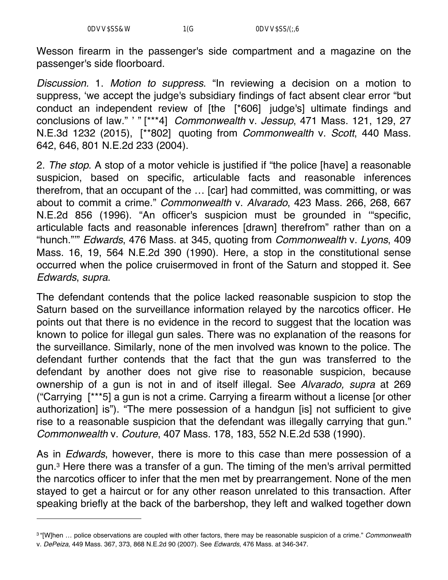Wesson firearm in the passenger's side compartment and a magazine on the passenger's side floorboard.

*Discussion.* 1. *Motion to suppress*. "In reviewing a decision on a motion to suppress, 'we accept the judge's subsidiary findings of fact absent clear error "but conduct an independent review of [the [\*606] judge's] ultimate findings and conclusions of law." ' " [\*\*\*4] *Commonwealth* v. *Jessup*, 471 Mass. 121, 129, 27 N.E.3d 1232 (2015), [\*\*802] quoting from *Commonwealth* v. *Scott*, 440 Mass. 642, 646, 801 N.E.2d 233 (2004).

2. *The stop*. A stop of a motor vehicle is justified if "the police [have] a reasonable suspicion, based on specific, articulable facts and reasonable inferences therefrom, that an occupant of the … [car] had committed, was committing, or was about to commit a crime." *Commonwealth* v. *Alvarado*, 423 Mass. 266, 268, 667 N.E.2d 856 (1996). "An officer's suspicion must be grounded in '"specific, articulable facts and reasonable inferences [drawn] therefrom" rather than on a "hunch."'" *Edwards*, 476 Mass. at 345, quoting from *Commonwealth* v. *Lyons*, 409 Mass. 16, 19, 564 N.E.2d 390 (1990). Here, a stop in the constitutional sense occurred when the police cruisermoved in front of the Saturn and stopped it. See *Edwards*, *supra*.

The defendant contends that the police lacked reasonable suspicion to stop the Saturn based on the surveillance information relayed by the narcotics officer. He points out that there is no evidence in the record to suggest that the location was known to police for illegal gun sales. There was no explanation of the reasons for the surveillance. Similarly, none of the men involved was known to the police. The defendant further contends that the fact that the gun was transferred to the defendant by another does not give rise to reasonable suspicion, because ownership of a gun is not in and of itself illegal. See *Alvarado, supra* at 269 ("Carrying [\*\*\*5] a gun is not a crime. Carrying a firearm without a license [or other authorization] is"). "The mere possession of a handgun [is] not sufficient to give rise to a reasonable suspicion that the defendant was illegally carrying that gun." *Commonwealth* v. *Couture*, 407 Mass. 178, 183, 552 N.E.2d 538 (1990).

As in *Edwards*, however, there is more to this case than mere possession of a gun.3 Here there was a transfer of a gun. The timing of the men's arrival permitted the narcotics officer to infer that the men met by prearrangement. None of the men stayed to get a haircut or for any other reason unrelated to this transaction. After speaking briefly at the back of the barbershop, they left and walked together down

<sup>3 &</sup>quot;[W]hen … police observations are coupled with other factors, there may be reasonable suspicion of a crime." *Commonwealth* v. *DePeiza*, 449 Mass. 367, 373, 868 N.E.2d 90 (2007). See *Edwards*, 476 Mass. at 346-347.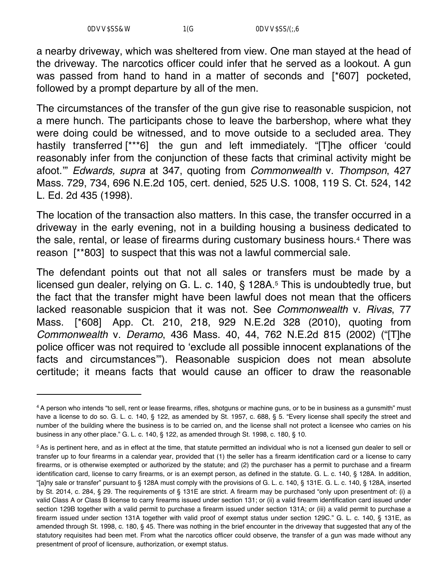a nearby driveway, which was sheltered from view. One man stayed at the head of the driveway. The narcotics officer could infer that he served as a lookout. A gun was passed from hand to hand in a matter of seconds and [\*607] pocketed, followed by a prompt departure by all of the men.

The circumstances of the transfer of the gun give rise to reasonable suspicion, not a mere hunch. The participants chose to leave the barbershop, where what they were doing could be witnessed, and to move outside to a secluded area. They hastily transferred [\*\*\*6] the gun and left immediately. "[T]he officer 'could reasonably infer from the conjunction of these facts that criminal activity might be afoot.'" *Edwards, supra* at 347, quoting from *Commonwealth* v. *Thompson*, 427 Mass. 729, 734, 696 N.E.2d 105, cert. denied, 525 U.S. 1008, 119 S. Ct. 524, 142 L. Ed. 2d 435 (1998).

The location of the transaction also matters. In this case, the transfer occurred in a driveway in the early evening, not in a building housing a business dedicated to the sale, rental, or lease of firearms during customary business hours.4 There was reason [\*\*803] to suspect that this was not a lawful commercial sale.

The defendant points out that not all sales or transfers must be made by a licensed gun dealer, relying on G. L. c. 140, § 128A.<sup>5</sup> This is undoubtedly true, but the fact that the transfer might have been lawful does not mean that the officers lacked reasonable suspicion that it was not. See *Commonwealth* v. *Rivas*, 77 Mass. [\*608] App. Ct. 210, 218, 929 N.E.2d 328 (2010), quoting from *Commonwealth* v. *Deramo*, 436 Mass. 40, 44, 762 N.E.2d 815 (2002) ("[T]he police officer was not required to 'exclude all possible innocent explanations of the facts and circumstances'"). Reasonable suspicion does not mean absolute certitude; it means facts that would cause an officer to draw the reasonable

<sup>4</sup> A person who intends "to sell, rent or lease firearms, rifles, shotguns or machine guns, or to be in business as a gunsmith" must have a license to do so. G. L. c. 140, § 122, as amended by St. 1957, c. 688, § 5. "Every license shall specify the street and number of the building where the business is to be carried on, and the license shall not protect a licensee who carries on his business in any other place." G. L. c. 140, § 122, as amended through St. 1998, c. 180, § 10.

<sup>5</sup> As is pertinent here, and as in effect at the time, that statute permitted an individual who is not a licensed gun dealer to sell or transfer up to four firearms in a calendar year, provided that (1) the seller has a firearm identification card or a license to carry firearms, or is otherwise exempted or authorized by the statute; and (2) the purchaser has a permit to purchase and a firearm identification card, license to carry firearms, or is an exempt person, as defined in the statute. G. L. c. 140, § 128A. In addition, "[a]ny sale or transfer" pursuant to § 128A must comply with the provisions of G. L. c. 140, § 131E. G. L. c. 140, § 128A, inserted by St. 2014, c. 284, § 29. The requirements of § 131E are strict. A firearm may be purchased "only upon presentment of: (i) a valid Class A or Class B license to carry firearms issued under section 131; or (ii) a valid firearm identification card issued under section 129B together with a valid permit to purchase a firearm issued under section 131A; or (iii) a valid permit to purchase a firearm issued under section 131A together with valid proof of exempt status under section 129C." G. L. c. 140, § 131E, as amended through St. 1998, c. 180, § 45. There was nothing in the brief encounter in the driveway that suggested that any of the statutory requisites had been met. From what the narcotics officer could observe, the transfer of a gun was made without any presentment of proof of licensure, authorization, or exempt status.